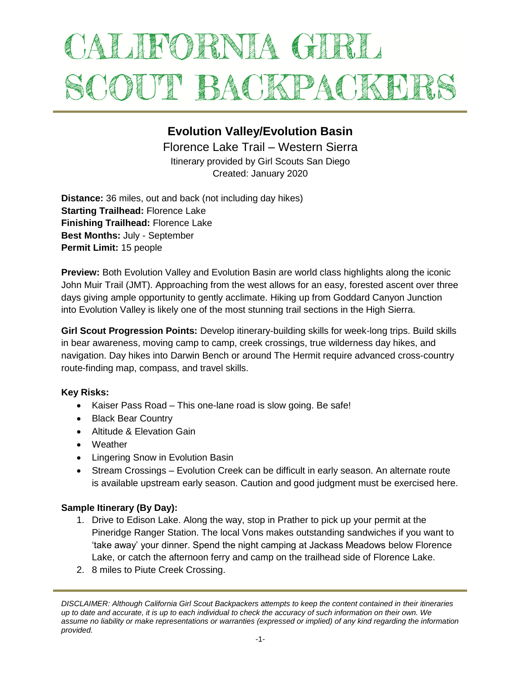# ALIFORNIA GIRL SCOUT BACKPACKET

# **Evolution Valley/Evolution Basin**

Florence Lake Trail – Western Sierra Itinerary provided by Girl Scouts San Diego Created: January 2020

**Distance:** 36 miles, out and back (not including day hikes) **Starting Trailhead:** Florence Lake **Finishing Trailhead:** Florence Lake **Best Months:** July - September **Permit Limit:** 15 people

**Preview:** Both Evolution Valley and Evolution Basin are world class highlights along the iconic John Muir Trail (JMT). Approaching from the west allows for an easy, forested ascent over three days giving ample opportunity to gently acclimate. Hiking up from Goddard Canyon Junction into Evolution Valley is likely one of the most stunning trail sections in the High Sierra.

**Girl Scout Progression Points:** Develop itinerary-building skills for week-long trips. Build skills in bear awareness, moving camp to camp, creek crossings, true wilderness day hikes, and navigation. Day hikes into Darwin Bench or around The Hermit require advanced cross-country route-finding map, compass, and travel skills.

# **Key Risks:**

- Kaiser Pass Road This one-lane road is slow going. Be safe!
- Black Bear Country
- Altitude & Elevation Gain
- Weather
- Lingering Snow in Evolution Basin
- Stream Crossings Evolution Creek can be difficult in early season. An alternate route is available upstream early season. Caution and good judgment must be exercised here.

# **Sample Itinerary (By Day):**

- 1. Drive to Edison Lake. Along the way, stop in Prather to pick up your permit at the Pineridge Ranger Station. The local Vons makes outstanding sandwiches if you want to 'take away' your dinner. Spend the night camping at Jackass Meadows below Florence Lake, or catch the afternoon ferry and camp on the trailhead side of Florence Lake.
- 2. 8 miles to Piute Creek Crossing.

*DISCLAIMER: Although California Girl Scout Backpackers attempts to keep the content contained in their itineraries up to date and accurate, it is up to each individual to check the accuracy of such information on their own. We assume no liability or make representations or warranties (expressed or implied) of any kind regarding the information provided.*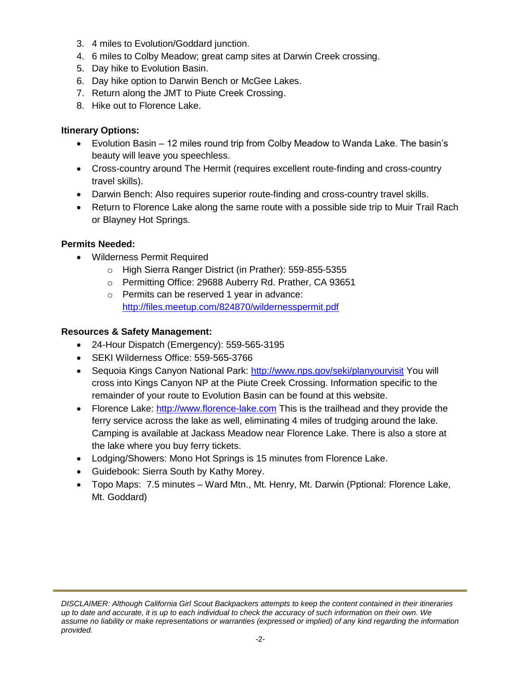- 3. 4 miles to Evolution/Goddard junction.
- 4. 6 miles to Colby Meadow; great camp sites at Darwin Creek crossing.
- 5. Day hike to Evolution Basin.
- 6. Day hike option to Darwin Bench or McGee Lakes.
- 7. Return along the JMT to Piute Creek Crossing.
- 8. Hike out to Florence Lake.

### **Itinerary Options:**

- Evolution Basin 12 miles round trip from Colby Meadow to Wanda Lake. The basin's beauty will leave you speechless.
- Cross-country around The Hermit (requires excellent route-finding and cross-country travel skills).
- Darwin Bench: Also requires superior route-finding and cross-country travel skills.
- Return to Florence Lake along the same route with a possible side trip to Muir Trail Rach or Blayney Hot Springs.

### **Permits Needed:**

- Wilderness Permit Required
	- o High Sierra Ranger District (in Prather): 559-855-5355
	- o Permitting Office: 29688 Auberry Rd. Prather, CA 93651
	- o Permits can be reserved 1 year in advance: <http://files.meetup.com/824870/wildernesspermit.pdf>

### **Resources & Safety Management:**

- 24-Hour Dispatch (Emergency): 559-565-3195
- SEKI Wilderness Office: 559-565-3766
- Sequoia Kings Canyon National Park:<http://www.nps.gov/seki/planyourvisit> You will cross into Kings Canyon NP at the Piute Creek Crossing. Information specific to the remainder of your route to Evolution Basin can be found at this website.
- Florence Lake: [http://www.florence-lake.com](http://www.florence-lake.com/) This is the trailhead and they provide the ferry service across the lake as well, eliminating 4 miles of trudging around the lake. Camping is available at Jackass Meadow near Florence Lake. There is also a store at the lake where you buy ferry tickets.
- Lodging/Showers: Mono Hot Springs is 15 minutes from Florence Lake.
- Guidebook: Sierra South by Kathy Morey.
- Topo Maps: 7.5 minutes Ward Mtn., Mt. Henry, Mt. Darwin (Pptional: Florence Lake, Mt. Goddard)

*DISCLAIMER: Although California Girl Scout Backpackers attempts to keep the content contained in their itineraries up to date and accurate, it is up to each individual to check the accuracy of such information on their own. We assume no liability or make representations or warranties (expressed or implied) of any kind regarding the information provided.*